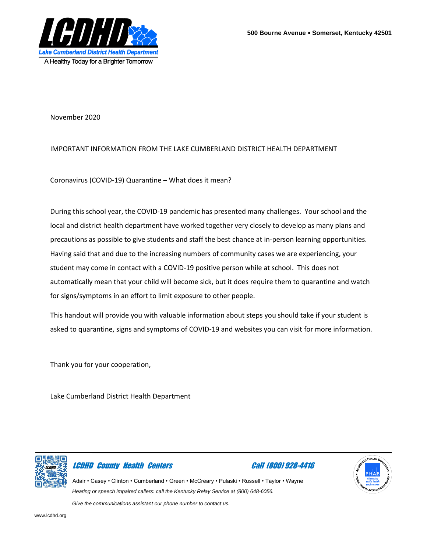

November 2020

#### IMPORTANT INFORMATION FROM THE LAKE CUMBERLAND DISTRICT HEALTH DEPARTMENT

Coronavirus (COVID-19) Quarantine – What does it mean?

During this school year, the COVID-19 pandemic has presented many challenges. Your school and the local and district health department have worked together very closely to develop as many plans and precautions as possible to give students and staff the best chance at in-person learning opportunities. Having said that and due to the increasing numbers of community cases we are experiencing, your student may come in contact with a COVID-19 positive person while at school. This does not automatically mean that your child will become sick, but it does require them to quarantine and watch for signs/symptoms in an effort to limit exposure to other people.

This handout will provide you with valuable information about steps you should take if your student is asked to quarantine, signs and symptoms of COVID-19 and websites you can visit for more information.

Thank you for your cooperation,

Lake Cumberland District Health Department



### LCDHD County Health Centers Call (800) 928-4416



Adair • Casey • Clinton • Cumberland • Green • McCreary • Pulaski • Russell • Taylor • Wayne *Hearing or speech impaired callers: call the Kentucky Relay Service at (800) 648-6056.*

*Give the communications assistant our phone number to contact us.*